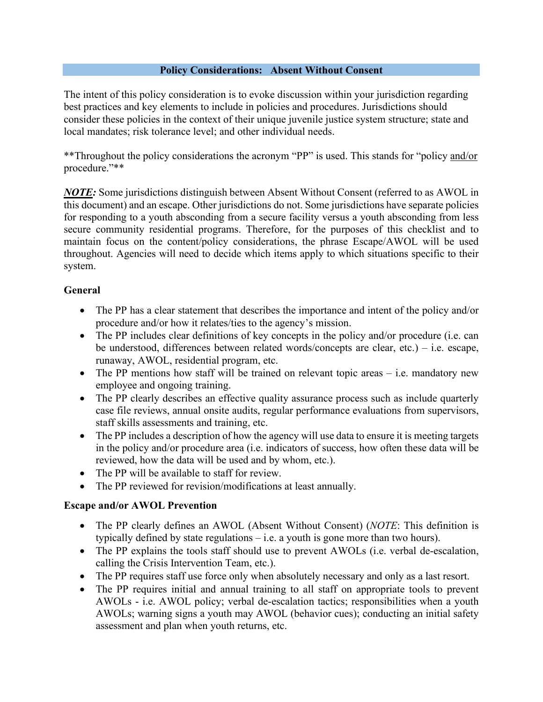### **Policy Considerations: Absent Without Consent**

The intent of this policy consideration is to evoke discussion within your jurisdiction regarding best practices and key elements to include in policies and procedures. Jurisdictions should consider these policies in the context of their unique juvenile justice system structure; state and local mandates; risk tolerance level; and other individual needs.

\*\*Throughout the policy considerations the acronym "PP" is used. This stands for "policy and/or procedure."\*\*

*NOTE:* Some jurisdictions distinguish between Absent Without Consent (referred to as AWOL in this document) and an escape. Other jurisdictions do not. Some jurisdictions have separate policies for responding to a youth absconding from a secure facility versus a youth absconding from less secure community residential programs. Therefore, for the purposes of this checklist and to maintain focus on the content/policy considerations, the phrase Escape/AWOL will be used throughout. Agencies will need to decide which items apply to which situations specific to their system.

## **General**

- The PP has a clear statement that describes the importance and intent of the policy and/or procedure and/or how it relates/ties to the agency's mission.
- The PP includes clear definitions of key concepts in the policy and/or procedure (i.e. can be understood, differences between related words/concepts are clear, etc.) – i.e. escape, runaway, AWOL, residential program, etc.
- The PP mentions how staff will be trained on relevant topic areas i.e. mandatory new employee and ongoing training.
- The PP clearly describes an effective quality assurance process such as include quarterly case file reviews, annual onsite audits, regular performance evaluations from supervisors, staff skills assessments and training, etc.
- The PP includes a description of how the agency will use data to ensure it is meeting targets in the policy and/or procedure area (i.e. indicators of success, how often these data will be reviewed, how the data will be used and by whom, etc.).
- The PP will be available to staff for review.
- The PP reviewed for revision/modifications at least annually.

## **Escape and/or AWOL Prevention**

- The PP clearly defines an AWOL (Absent Without Consent) (*NOTE*: This definition is typically defined by state regulations – i.e. a youth is gone more than two hours).
- The PP explains the tools staff should use to prevent AWOLs (i.e. verbal de-escalation, calling the Crisis Intervention Team, etc.).
- The PP requires staff use force only when absolutely necessary and only as a last resort.
- The PP requires initial and annual training to all staff on appropriate tools to prevent AWOLs - i.e. AWOL policy; verbal de-escalation tactics; responsibilities when a youth AWOLs; warning signs a youth may AWOL (behavior cues); conducting an initial safety assessment and plan when youth returns, etc.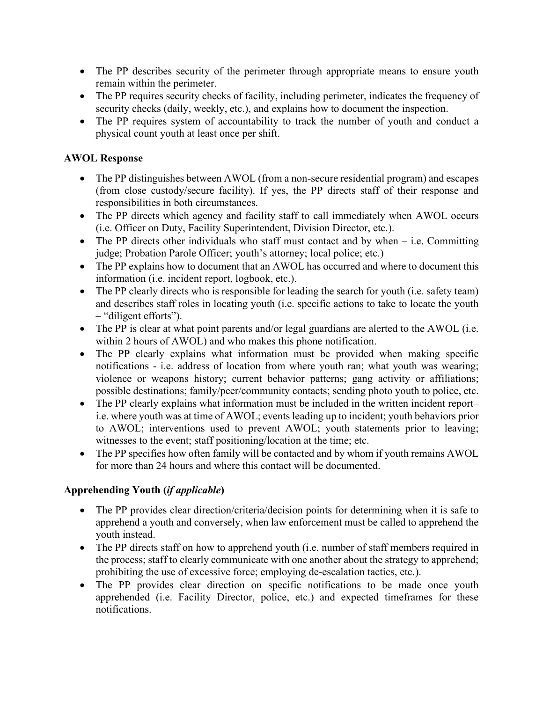- The PP describes security of the perimeter through appropriate means to ensure youth remain within the perimeter.
- The PP requires security checks of facility, including perimeter, indicates the frequency of security checks (daily, weekly, etc.), and explains how to document the inspection.
- The PP requires system of accountability to track the number of youth and conduct a physical count youth at least once per shift.

# **AWOL Response**

- The PP distinguishes between AWOL (from a non-secure residential program) and escapes (from close custody/secure facility). If yes, the PP directs staff of their response and responsibilities in both circumstances.
- The PP directs which agency and facility staff to call immediately when AWOL occurs (i.e. Officer on Duty, Facility Superintendent, Division Director, etc.).
- The PP directs other individuals who staff must contact and by when  $-$  i.e. Committing judge; Probation Parole Officer; youth's attorney; local police; etc.)
- The PP explains how to document that an AWOL has occurred and where to document this information (i.e. incident report, logbook, etc.).
- The PP clearly directs who is responsible for leading the search for youth (i.e. safety team) and describes staff roles in locating youth (i.e. specific actions to take to locate the youth – "diligent efforts").
- The PP is clear at what point parents and/or legal guardians are alerted to the AWOL (i.e. within 2 hours of AWOL) and who makes this phone notification.
- The PP clearly explains what information must be provided when making specific notifications - i.e. address of location from where youth ran; what youth was wearing; violence or weapons history; current behavior patterns; gang activity or affiliations; possible destinations; family/peer/community contacts; sending photo youth to police, etc.
- The PP clearly explains what information must be included in the written incident report– i.e. where youth was at time of AWOL; events leading up to incident; youth behaviors prior to AWOL; interventions used to prevent AWOL; youth statements prior to leaving; witnesses to the event; staff positioning/location at the time; etc.
- The PP specifies how often family will be contacted and by whom if youth remains AWOL for more than 24 hours and where this contact will be documented.

## **Apprehending Youth (***if applicable***)**

- The PP provides clear direction/criteria/decision points for determining when it is safe to apprehend a youth and conversely, when law enforcement must be called to apprehend the youth instead.
- The PP directs staff on how to apprehend youth (i.e. number of staff members required in the process; staff to clearly communicate with one another about the strategy to apprehend; prohibiting the use of excessive force; employing de-escalation tactics, etc.).
- The PP provides clear direction on specific notifications to be made once youth apprehended (i.e. Facility Director, police, etc.) and expected timeframes for these notifications.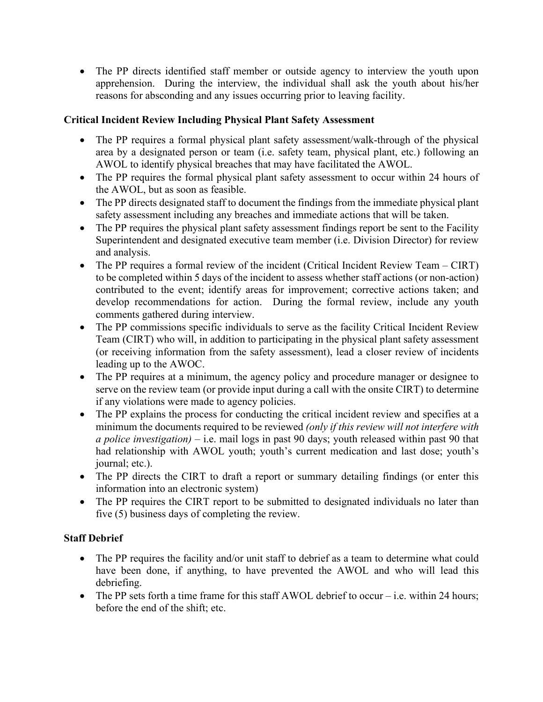• The PP directs identified staff member or outside agency to interview the youth upon apprehension. During the interview, the individual shall ask the youth about his/her reasons for absconding and any issues occurring prior to leaving facility.

# **Critical Incident Review Including Physical Plant Safety Assessment**

- The PP requires a formal physical plant safety assessment/walk-through of the physical area by a designated person or team (i.e. safety team, physical plant, etc.) following an AWOL to identify physical breaches that may have facilitated the AWOL.
- The PP requires the formal physical plant safety assessment to occur within 24 hours of the AWOL, but as soon as feasible.
- The PP directs designated staff to document the findings from the immediate physical plant safety assessment including any breaches and immediate actions that will be taken.
- The PP requires the physical plant safety assessment findings report be sent to the Facility Superintendent and designated executive team member (i.e. Division Director) for review and analysis.
- The PP requires a formal review of the incident (Critical Incident Review Team CIRT) to be completed within 5 days of the incident to assess whether staff actions (or non-action) contributed to the event; identify areas for improvement; corrective actions taken; and develop recommendations for action. During the formal review, include any youth comments gathered during interview.
- The PP commissions specific individuals to serve as the facility Critical Incident Review Team (CIRT) who will, in addition to participating in the physical plant safety assessment (or receiving information from the safety assessment), lead a closer review of incidents leading up to the AWOC.
- The PP requires at a minimum, the agency policy and procedure manager or designee to serve on the review team (or provide input during a call with the onsite CIRT) to determine if any violations were made to agency policies.
- The PP explains the process for conducting the critical incident review and specifies at a minimum the documents required to be reviewed *(only if this review will not interfere with a police investigation)* – i.e. mail logs in past 90 days; youth released within past 90 that had relationship with AWOL youth; youth's current medication and last dose; youth's journal; etc.).
- The PP directs the CIRT to draft a report or summary detailing findings (or enter this information into an electronic system)
- The PP requires the CIRT report to be submitted to designated individuals no later than five (5) business days of completing the review.

# **Staff Debrief**

- The PP requires the facility and/or unit staff to debrief as a team to determine what could have been done, if anything, to have prevented the AWOL and who will lead this debriefing.
- The PP sets forth a time frame for this staff AWOL debrief to occur i.e. within 24 hours; before the end of the shift; etc.